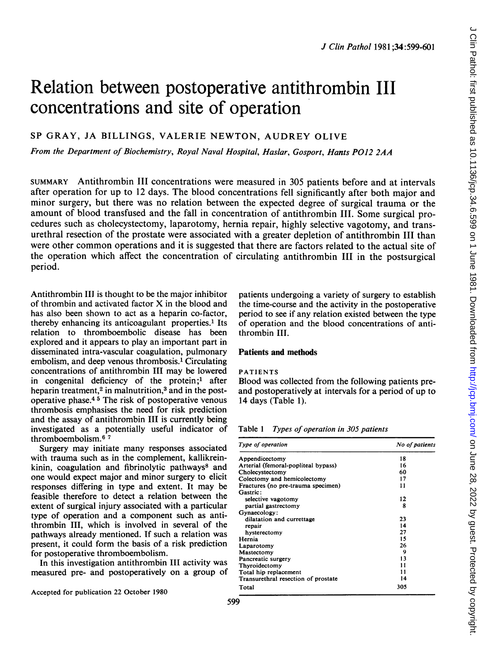# Relation between postoperative antithrombin III concentrations and site of operation

# SP GRAY, JA BILLINGS, VALERIE NEWTON, AUDREY OLIVE

From the Department of Biochemistry, Royal Naval Hospital, Haslar, Gosport, Hants P012 2AA

SUMMARY Antithrombin III concentrations were measured in 305 patients before and at intervals after operation for up to 12 days. The blood concentrations fell significantly after both major and minor surgery, but there was no relation between the expected degree of surgical trauma or the amount of blood transfused and the fall in concentration of antithrombin III. Some surgical procedures such as cholecystectomy, laparotomy, hernia repair, highly selective vagotomy, and transurethral resection of the prostate were associated with a greater depletion of antithrombin III than were other common operations and it is suggested that there are factors related to the actual site of the operation which affect the concentration of circulating antithrombin III in the postsurgical period.

Antithrombin III is thought to be the major inhibitor of thrombin and activated factor X in the blood and has also been shown to act as a heparin co-factor, thereby enhancing its anticoagulant properties.<sup>1</sup> Its relation to thromboembolic disease has been explored and it appears to play an important part in disseminated intra-vascular coagulation, pulmonary embolism, and deep venous thrombosis.' Circulating concentrations of antithrombin III may be lowered in congenital deficiency of the protein;<sup>1</sup> after heparin treatment,<sup>2</sup> in malnutrition,<sup>3</sup> and in the postoperative phase.4 <sup>5</sup> The risk of postoperative venous thrombosis emphasises the need for risk prediction and the assay of antithrombin III is currently being investigated as a potentially useful indicator of thromboembolism.6 <sup>7</sup>

Surgery may initiate many responses associated with trauma such as in the complement, kallikreinkinin, coagulation and fibrinolytic pathways<sup>8</sup> and one would expect major and minor surgery to elicit responses differing in type and extent. It may be feasible therefore to detect a relation between the extent of surgical injury associated with a particular type of operation and a component such as antithrombin III, which is involved in several of the pathways already mentioned. If such a relation was present, it could form the basis of a risk prediction for postoperative thromboembolism.

In this investigation antithrombin III activity was measured pre- and postoperatively on a group of

Accepted for publication 22 October 1980

patients undergoing a variety of surgery to establish the time-course and the activity in the postoperative period to see if any relation existed between the type of operation and the blood concentrations of antithrombin III.

## Patients and methods

# PATIENTS

Blood was collected from the following patients preand postoperatively at intervals for a period of up to 14 days (Table 1).

Table 1 Types of operation in 305 patients

| Type of operation                   | No of patients |
|-------------------------------------|----------------|
| Appendicectomy                      | 18             |
| Arterial (femoral-popliteal bypass) | 16             |
| Cholecystectomy                     | 60             |
| Colectomy and hemicolectomy         | 17             |
| Fractures (no pre-trauma specimen)  | 11             |
| Gastric:                            |                |
| selective vagotomy                  | 12             |
| partial gastrectomy                 | я              |
| Gynaecology:                        |                |
| dilatation and currettage           | 23             |
| repair                              | 14             |
| hysterectomy                        | 27             |
| Hernia                              | 15             |
| Laparotomy                          | 26             |
| Mastectomy                          | 9              |
| Pancreatic surgery                  | 13             |
| Thyroidectomy                       | 11             |
| Total hip replacement               | 11             |
| Transurethral resection of prostate | 14             |
| Total                               | 305            |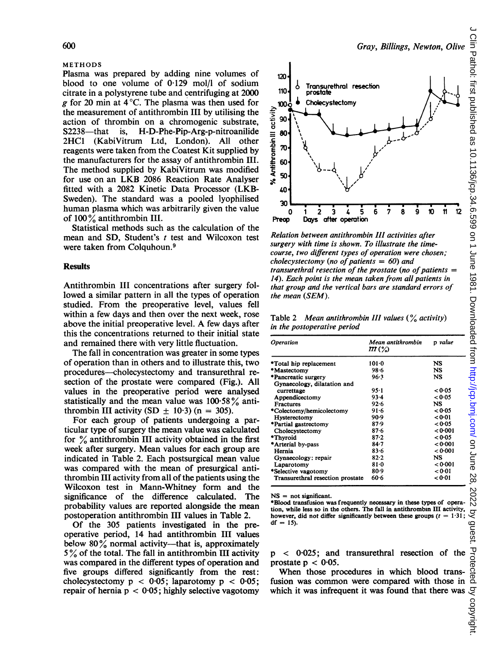#### METHODS

Plasma was prepared by adding nine volumes of blood to one volume of 0-129 mol/l of sodium citrate in a polystyrene tube and centrifuging at 2000 g for 20 min at  $4^{\circ}$ C. The plasma was then used for the measurement of antithrombin III by utilising the action of thrombin on a chromogenic substrate, S2238-that is, H-D-Phe-Pip-Arg-p-nitroanilide 2HC1 (KabiVitrum Ltd, London). All other reagents were taken from the Coatest Kit supplied by the manufacturers for the assay of antithrombin III. The method supplied by KabiVitrum was modified for use on an LKB <sup>2086</sup> Reaction Rate Analyser fitted with a 2082 Kinetic Data Processor (LKB-Sweden). The standard was a pooled lyophilised human plasma which was arbitrarily given the value of 100% antithrombin III.

Statistical methods such as the calculation of the mean and SD, Student's t test and Wilcoxon test were taken from Colquhoun.<sup>9</sup>

## **Results**

Antithrombin III concentrations after surgery followed a similar pattern in all the types of operation studied. From the preoperative level, values fell within a few days and then over the next week, rose above the initial preoperative level. A few days after this the concentrations returned to their initial state and remained there with very little fluctuation.

The fall in concentration was greater in some types of operation than in others and to illustrate this, two procedures-cholecystectomy and transurethral resection of the prostate were compared (Fig.). All values in the preoperative period were analysed statistically and the mean value was  $100.58\%$  antithrombin III activity (SD  $\pm$  10.3) (n = 305).

For each group of patients undergoing a particular type of surgery the mean value was calculated for  $\frac{9}{6}$  antithrombin III activity obtained in the first week after surgery. Mean values for each group are indicated in Table 2. Each postsurgical mean value was compared with the mean of presurgical antithrombin III activity from all of the patients using the Wilcoxon test in Mann-Whitney form and the significance of the difference calculated. The probability values are reported alongside the mean postoperation antithrombin III values in Table 2.

Of the 305 patients investigated in the preoperative period, 14 had antithrombin III values below  $80\%$  normal activity—that is, approximately  $5\%$  of the total. The fall in antithrombin III activity was compared in the different types of operation and five groups differed significantly from the rest: cholecystectomy  $p < 0.05$ ; laparotomy  $p < 0.05$ ; repair of hernia  $p < 0.05$ ; highly selective vagotomy



Relation between antithrombin III activities after surgery with time is shown. To illustrate the timecourse, two different types of operation were chosen; cholecystectomy (no of patients  $= 60$ ) and transurethral resection of the prostate (no of patients  $=$ 14). Each point is the mean taken from all patients in that group and the vertical bars are standard errors of the mean (SEM).

Days after operation

Table 2 Mean antithrombin III values  $(\frac{6}{6}$  activity) in the postoperative period

| <b>Operation</b>                 | Mean antithrombin<br>M (%) | p value  |
|----------------------------------|----------------------------|----------|
| *Total hip replacement           | $101 - 0$                  | NS       |
| *Mastectomy                      | 98.6                       | NS       |
| *Pancreatic surgery              | 96.3                       | NS       |
| Gynaecology, dilatation and      |                            |          |
| currettage                       | $95 - 1$                   | < 0.05   |
| Appendicectomy                   | $93 - 4$                   | $<$ 0.05 |
| <b>Fractures</b>                 | $92 - 6$                   | NS       |
| *Colectomy/hemicolectomy         | $91 - 6$                   | < 0.05   |
| Hysterectomy                     | 90.9                       | < 0.01   |
| *Partial gastrectomy             | 87.9                       | < 0.05   |
| Cholecystectomy                  | $87-6$                     | < 0.001  |
| *Thyroid                         | $87 - 2$                   | < 0.05   |
| *Arterial by-pass                | $84 - 7$                   | < 0.001  |
| Hernia                           | $83 - 6$                   | < 0.001  |
| Gynaecology: repair              | 82.2                       | NS       |
| Laparotomy                       | $81 - 0$                   | < 0.001  |
| *Selective vagotomy              | 80.9                       | < 0.01   |
| Transurethral resection prostate | 60.6                       | < 0.01   |

NS = not significant.

Preop

\*Blood transfusion was frequently necessary in these types of operation, while less so in the others. The fall in antithrombin III activity, however, did not differ significantly between these groups  $(t = 1.31)$ ;  $df = 15$ .

p < 0-025; and transurethral resection of the prostate  $p < 0.05$ .

When those procedures in which blood transfusion was common were compared with those in which it was infrequent it was found that there was